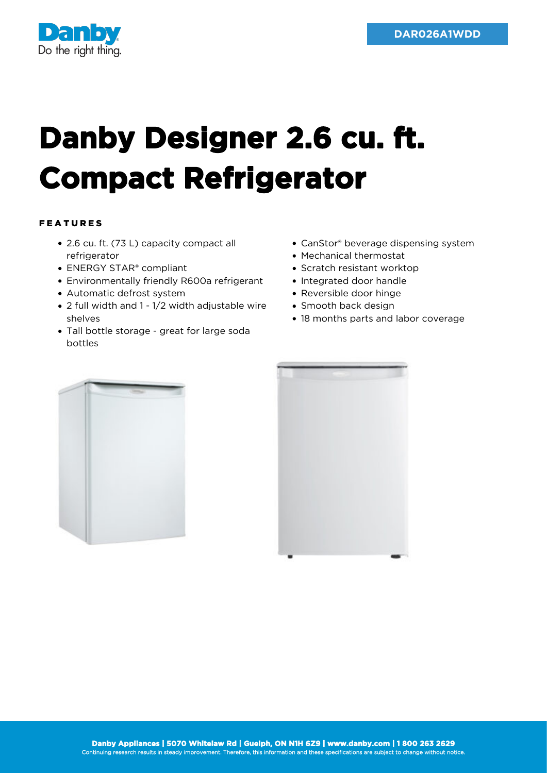

## **Danby Designer 2.6 cu. ft. Compact Refrigerator**

## FEATURES

- 2.6 cu. ft. (73 L) capacity compact all refrigerator
- ENERGY STAR<sup>®</sup> compliant
- Environmentally friendly R600a refrigerant
- Automatic defrost system
- 2 full width and 1 1/2 width adjustable wire shelves
- Tall bottle storage great for large soda bottles
- CanStor® beverage dispensing system
- Mechanical thermostat
- Scratch resistant worktop
- Integrated door handle
- Reversible door hinge
- Smooth back design
- 18 months parts and labor coverage